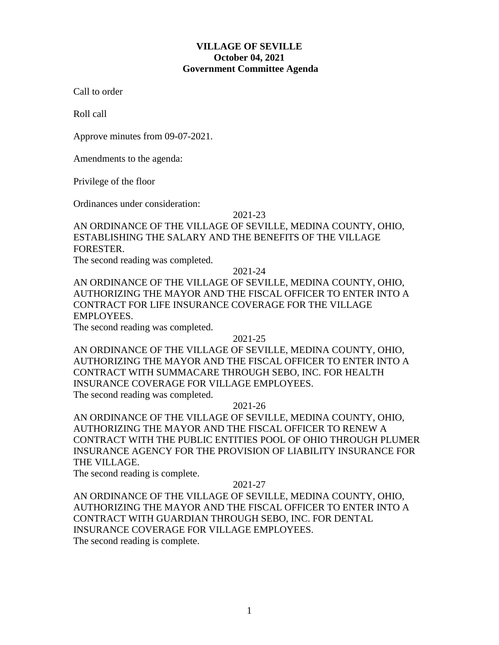## **VILLAGE OF SEVILLE October 04, 2021 Government Committee Agenda**

Call to order

Roll call

Approve minutes from 09-07-2021.

Amendments to the agenda:

Privilege of the floor

Ordinances under consideration:

### 2021-23

# AN ORDINANCE OF THE VILLAGE OF SEVILLE, MEDINA COUNTY, OHIO, ESTABLISHING THE SALARY AND THE BENEFITS OF THE VILLAGE FORESTER.

The second reading was completed.

2021-24

AN ORDINANCE OF THE VILLAGE OF SEVILLE, MEDINA COUNTY, OHIO, AUTHORIZING THE MAYOR AND THE FISCAL OFFICER TO ENTER INTO A CONTRACT FOR LIFE INSURANCE COVERAGE FOR THE VILLAGE EMPLOYEES.

The second reading was completed.

## 2021-25

AN ORDINANCE OF THE VILLAGE OF SEVILLE, MEDINA COUNTY, OHIO, AUTHORIZING THE MAYOR AND THE FISCAL OFFICER TO ENTER INTO A CONTRACT WITH SUMMACARE THROUGH SEBO, INC. FOR HEALTH INSURANCE COVERAGE FOR VILLAGE EMPLOYEES.

The second reading was completed.

2021-26

AN ORDINANCE OF THE VILLAGE OF SEVILLE, MEDINA COUNTY, OHIO, AUTHORIZING THE MAYOR AND THE FISCAL OFFICER TO RENEW A CONTRACT WITH THE PUBLIC ENTITIES POOL OF OHIO THROUGH PLUMER INSURANCE AGENCY FOR THE PROVISION OF LIABILITY INSURANCE FOR THE VILLAGE.

The second reading is complete.

## 2021-27

AN ORDINANCE OF THE VILLAGE OF SEVILLE, MEDINA COUNTY, OHIO, AUTHORIZING THE MAYOR AND THE FISCAL OFFICER TO ENTER INTO A CONTRACT WITH GUARDIAN THROUGH SEBO, INC. FOR DENTAL INSURANCE COVERAGE FOR VILLAGE EMPLOYEES. The second reading is complete.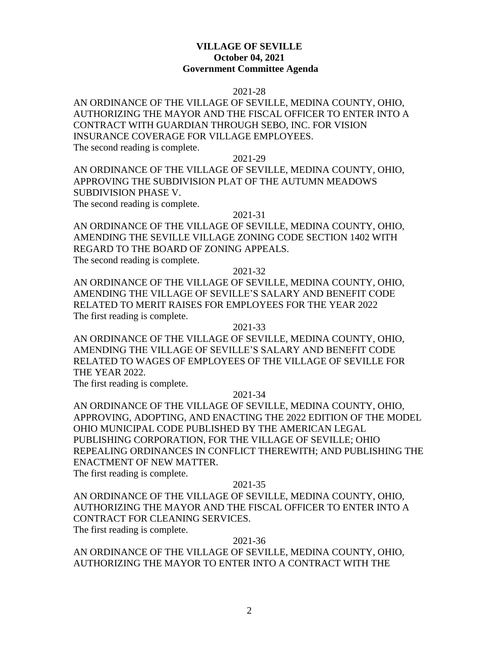## **VILLAGE OF SEVILLE October 04, 2021 Government Committee Agenda**

### 2021-28

## AN ORDINANCE OF THE VILLAGE OF SEVILLE, MEDINA COUNTY, OHIO, AUTHORIZING THE MAYOR AND THE FISCAL OFFICER TO ENTER INTO A CONTRACT WITH GUARDIAN THROUGH SEBO, INC. FOR VISION INSURANCE COVERAGE FOR VILLAGE EMPLOYEES. The second reading is complete.

### 2021-29

AN ORDINANCE OF THE VILLAGE OF SEVILLE, MEDINA COUNTY, OHIO, APPROVING THE SUBDIVISION PLAT OF THE AUTUMN MEADOWS SUBDIVISION PHASE V. The second reading is complete.

#### 2021-31

AN ORDINANCE OF THE VILLAGE OF SEVILLE, MEDINA COUNTY, OHIO, AMENDING THE SEVILLE VILLAGE ZONING CODE SECTION 1402 WITH REGARD TO THE BOARD OF ZONING APPEALS. The second reading is complete.

### 2021-32

AN ORDINANCE OF THE VILLAGE OF SEVILLE, MEDINA COUNTY, OHIO, AMENDING THE VILLAGE OF SEVILLE'S SALARY AND BENEFIT CODE RELATED TO MERIT RAISES FOR EMPLOYEES FOR THE YEAR 2022 The first reading is complete.

### 2021-33

AN ORDINANCE OF THE VILLAGE OF SEVILLE, MEDINA COUNTY, OHIO, AMENDING THE VILLAGE OF SEVILLE'S SALARY AND BENEFIT CODE RELATED TO WAGES OF EMPLOYEES OF THE VILLAGE OF SEVILLE FOR THE YEAR 2022.

The first reading is complete.

### 2021-34

AN ORDINANCE OF THE VILLAGE OF SEVILLE, MEDINA COUNTY, OHIO, APPROVING, ADOPTING, AND ENACTING THE 2022 EDITION OF THE MODEL OHIO MUNICIPAL CODE PUBLISHED BY THE AMERICAN LEGAL PUBLISHING CORPORATION, FOR THE VILLAGE OF SEVILLE; OHIO REPEALING ORDINANCES IN CONFLICT THEREWITH; AND PUBLISHING THE ENACTMENT OF NEW MATTER.

The first reading is complete.

### 2021-35

AN ORDINANCE OF THE VILLAGE OF SEVILLE, MEDINA COUNTY, OHIO, AUTHORIZING THE MAYOR AND THE FISCAL OFFICER TO ENTER INTO A CONTRACT FOR CLEANING SERVICES.

The first reading is complete.

### 2021-36

AN ORDINANCE OF THE VILLAGE OF SEVILLE, MEDINA COUNTY, OHIO, AUTHORIZING THE MAYOR TO ENTER INTO A CONTRACT WITH THE